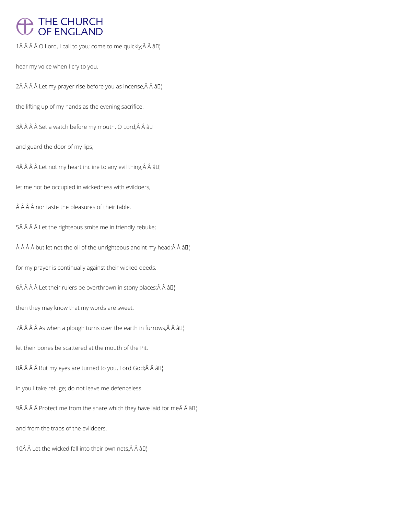# THE CHURCH<br>OF ENGLAND

1Â Â Â Â O Lord, I call to you; come to me quickly; Â Â â D¦

hear my voice when I cry to you.

 $2\hat{A}$   $\hat{A}$   $\hat{A}$   $\hat{A}$  Let my prayer rise before you as incense, $\hat{A}$   $\hat{A}$   $\hat{a}$  $\Box$ 

the lifting up of my hands as the evening sacrifice.

3Â Â Â Â Set a watch before my mouth, O Lord, Â Â â D¦

and guard the door of my lips;

 $4\hat{A}$   $\hat{A}$   $\hat{A}$   $\hat{A}$  Let not my heart incline to any evil thing;  $\hat{A}$   $\hat{A}$   $\hat{B}$  $I$ 

let me not be occupied in wickedness with evildoers,

 $\hat{A}$   $\hat{A}$   $\hat{A}$  nor taste the pleasures of their table.

5Â Â Â Â Let the righteous smite me in friendly rebuke;

 $\hat{A}$   $\hat{A}$   $\hat{A}$   $\hat{B}$  but let not the oil of the unrighteous anoint my head;  $\hat{A}$   $\hat{A}$   $\hat{a}$   $\Box$ 

for my prayer is continually against their wicked deeds.

 $6\hat{A}$   $\hat{A}$   $\hat{A}$  Let their rulers be overthrown in stony places; $\hat{A}$   $\hat{A}$   $\hat{a}$   $\Gamma$ 

then they may know that my words are sweet.

7Â Â Â Â As when a plough turns over the earth in furrows, Â Â â  $\mathbb{I}^1$ 

let their bones be scattered at the mouth of the Pit.

 $8\hat{A}$   $\hat{A}$   $\hat{A}$   $B$ ut my eyes are turned to you, Lord God; $\hat{A}$   $\hat{A}$   $\hat{a}$  $\square$ 

in you I take refuge; do not leave me defenceless.

9 Protect me from the snare which they have laid for me Â â  $II_1$ 

and from the traps of the evildoers.

10Å  $\hat{A}$  Let the wicked fall into their own nets, $\hat{A}$   $\hat{A}$   $\hat{a}$   $\Box$